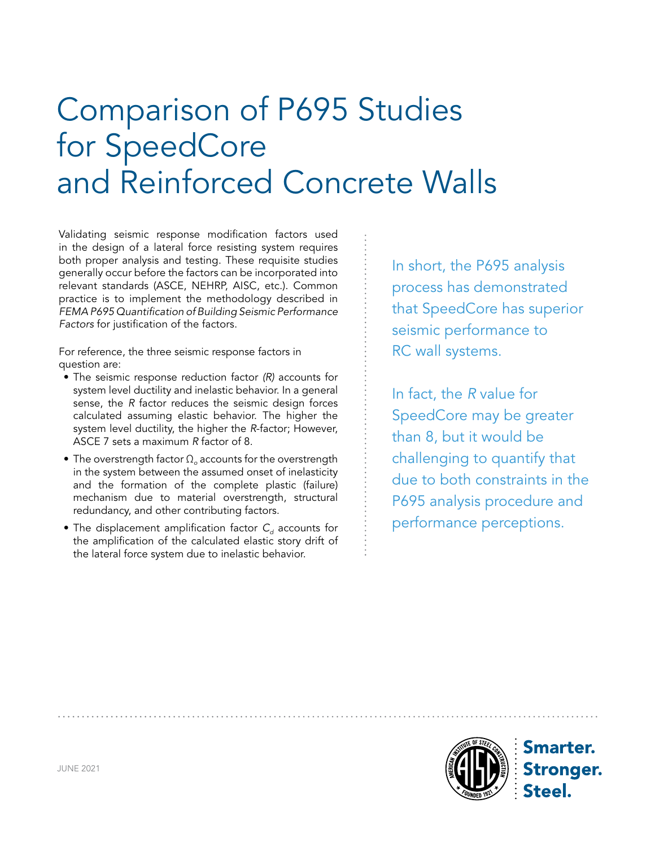# Comparison of P695 Studies for SpeedCore and Reinforced Concrete Walls

Validating seismic response modification factors used in the design of a lateral force resisting system requires both proper analysis and testing. These requisite studies generally occur before the factors can be incorporated into relevant standards (ASCE, NEHRP, AISC, etc.). Common practice is to implement the methodology described in *FEMA P695 Quantification of Building Seismic Performance Factors* for justification of the factors.

For reference, the three seismic response factors in question are:

- The seismic response reduction factor *(R)* accounts for system level ductility and inelastic behavior. In a general sense, the *R* factor reduces the seismic design forces calculated assuming elastic behavior. The higher the system level ductility, the higher the *R*-factor; However, ASCE 7 sets a maximum *R* factor of 8.
- The overstrength factor Ω<sub>o</sub> accounts for the overstrength in the system between the assumed onset of inelasticity and the formation of the complete plastic (failure) mechanism due to material overstrength, structural redundancy, and other contributing factors.
- The displacement amplification factor C<sub>d</sub> accounts for the amplification of the calculated elastic story drift of the lateral force system due to inelastic behavior.

In short, the P695 analysis process has demonstrated that SpeedCore has superior seismic performance to RC wall systems.

In fact, the *R* value for SpeedCore may be greater than 8, but it would be challenging to quantify that due to both constraints in the P695 analysis procedure and performance perceptions.



**Smarter. Stronger.**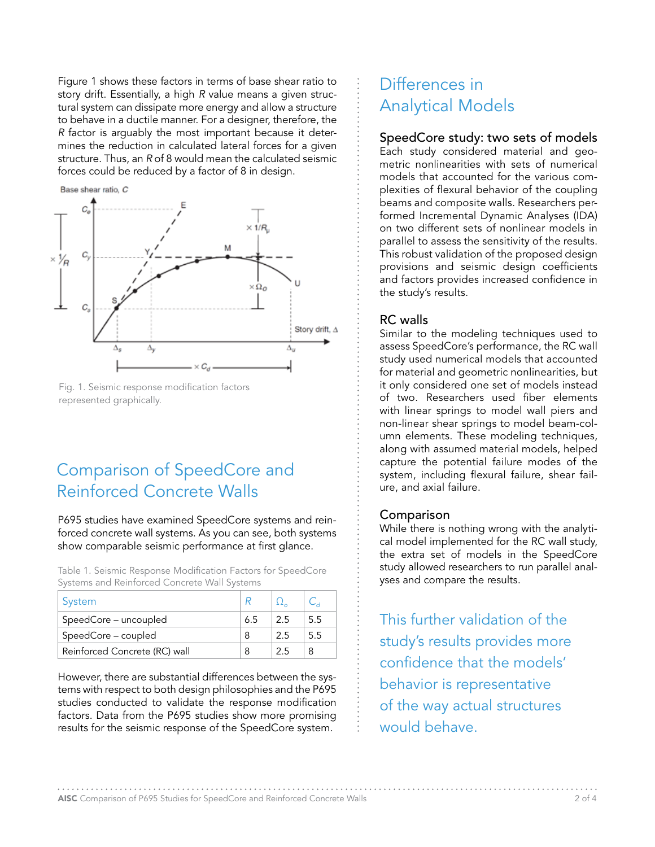Figure 1 shows these factors in terms of base shear ratio to story drift. Essentially, a high *R* value means a given structural system can dissipate more energy and allow a structure to behave in a ductile manner. For a designer, therefore, the *R* factor is arguably the most important because it determines the reduction in calculated lateral forces for a given structure. Thus, an *R* of 8 would mean the calculated seismic forces could be reduced by a factor of 8 in design.





# Comparison of SpeedCore and Reinforced Concrete Walls

P695 studies have examined SpeedCore systems and reinforced concrete wall systems. As you can see, both systems show comparable seismic performance at first glance.

Table 1. Seismic Response Modification Factors for SpeedCore Systems and Reinforced Concrete Wall Systems

| System                        |    |    |     |
|-------------------------------|----|----|-----|
| SpeedCore - uncoupled         | 65 | 25 | 5.5 |
| SpeedCore – coupled           |    | 25 | 55  |
| Reinforced Concrete (RC) wall |    | 25 |     |

However, there are substantial differences between the systems with respect to both design philosophies and the P695 studies conducted to validate the response modification factors. Data from the P695 studies show more promising results for the seismic response of the SpeedCore system.

### Differences in Analytical Models

### SpeedCore study: two sets of models

Each study considered material and geometric nonlinearities with sets of numerical models that accounted for the various complexities of flexural behavior of the coupling beams and composite walls. Researchers performed Incremental Dynamic Analyses (IDA) on two different sets of nonlinear models in parallel to assess the sensitivity of the results. This robust validation of the proposed design provisions and seismic design coefficients and factors provides increased confidence in the study's results.

### RC walls

Similar to the modeling techniques used to assess SpeedCore's performance, the RC wall study used numerical models that accounted for material and geometric nonlinearities, but it only considered one set of models instead of two. Researchers used fiber elements with linear springs to model wall piers and non-linear shear springs to model beam-column elements. These modeling techniques, along with assumed material models, helped capture the potential failure modes of the system, including flexural failure, shear failure, and axial failure.

### Comparison

While there is nothing wrong with the analytical model implemented for the RC wall study, the extra set of models in the SpeedCore study allowed researchers to run parallel analyses and compare the results.

This further validation of the study's results provides more confidence that the models' behavior is representative of the way actual structures would behave.

AISC Comparison of P695 Studies for SpeedCore and Reinforced Concrete Walls 2 of 4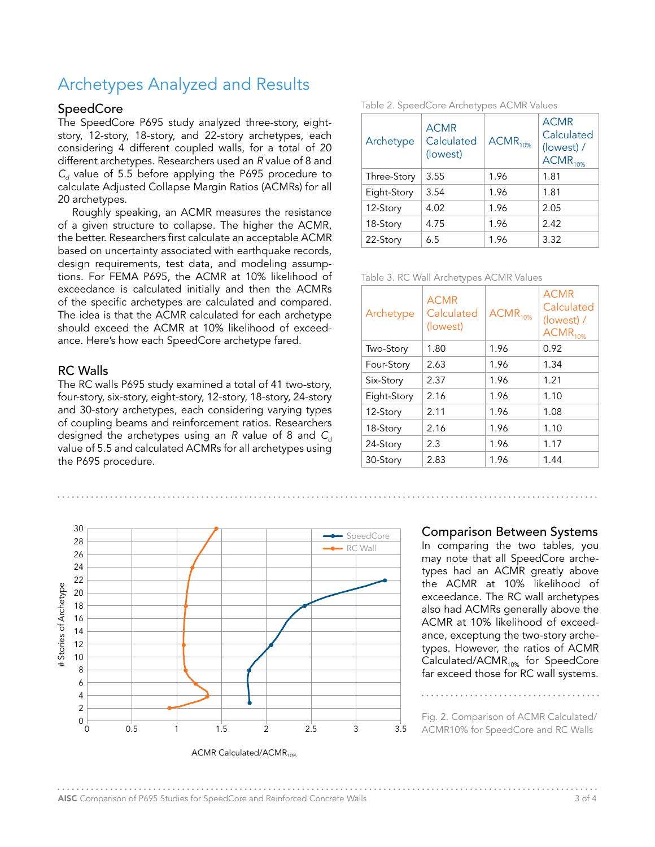## Archetypes Analyzed and Results

#### **SpeedCore**

The SpeedCore P695 study analyzed three-story, eightstory, 12-story, 18-story, and 22-story archetypes, each considering 4 different coupled walls, for a total of 20 different archetypes. Researchers used an *R* value of 8 and  $C_d$  value of 5.5 before applying the P695 procedure to calculate Adjusted Collapse Margin Ratios (ACMRs) for all 20 archetypes.

Roughly speaking, an ACMR measures the resistance of a given structure to collapse. The higher the ACMR, the better. Researchers first calculate an acceptable ACMR based on uncertainty associated with earthquake records, design requirements, test data, and modeling assumptions. For FEMA P695, the ACMR at 10% likelihood of exceedance is calculated initially and then the ACMRs of the specific archetypes are calculated and compared. The idea is that the ACMR calculated for each archetype should exceed the ACMR at 10% likelihood of exceedance. Here's how each SpeedCore archetype fared.

#### RC Walls

The RC walls P695 study examined a total of 41 two-story, four-story, six-story, eight-story, 12-story, 18-story, 24-story and 30-story archetypes, each considering varying types of coupling beams and reinforcement ratios. Researchers designed the archetypes using an *R* value of 8 and  $C_d$ value of 5.5 and calculated ACMRs for all archetypes using the P695 procedure.



Table 2. SpeedCore Archetypes ACMR Values

| Archetype   | <b>ACMR</b><br>Calculated<br>(lowest) | $ACMR_{10\%}$ | <b>ACMR</b><br>Calculated<br>(lowest) /<br>$ACMR_{10\%}$ |  |  |
|-------------|---------------------------------------|---------------|----------------------------------------------------------|--|--|
| Three-Story | 3.55                                  | 1.96          | 1.81                                                     |  |  |
| Eight-Story | 3.54                                  | 1.96          | 1.81                                                     |  |  |
| 12-Story    | 4.02                                  | 1.96          | 2.05                                                     |  |  |
| 18-Story    | 4.75                                  | 1.96          | 2.42                                                     |  |  |
| 22-Story    | 6.5                                   | 1.96          | 3.32                                                     |  |  |

Table 3. RC Wall Archetypes ACMR Values

| Archetype   | <b>ACMR</b><br>Calculated<br>(lowest) | $ACMR_{10\%}$ | <b>ACMR</b><br>Calculated<br>(lowest) /<br>$ACMR_{10\%}$ |
|-------------|---------------------------------------|---------------|----------------------------------------------------------|
| Two-Story   | 1.80                                  | 1.96          | 0.92                                                     |
| Four-Story  | 2.63                                  | 1.96          | 1.34                                                     |
| Six-Story   | 2.37                                  | 1.96          | 1.21                                                     |
| Eight-Story | 2.16                                  | 1.96          | 1.10                                                     |
| 12-Story    | 2.11                                  | 1.96          | 1.08                                                     |
| 18-Story    | 2.16                                  | 1.96          | 1.10                                                     |
| 24-Story    | 2.3                                   | 1.96          | 1.17                                                     |
| 30-Story    | 2.83                                  | 1.96          | 1.44                                                     |

#### Comparison Between Systems

In comparing the two tables, you may note that all SpeedCore archetypes had an ACMR greatly above the ACMR at 10% likelihood of exceedance. The RC wall archetypes also had ACMRs generally above the ACMR at 10% likelihood of exceedance, exceptung the two-story archetypes. However, the ratios of ACMR Calculated/ACMR $_{10\%}$  for SpeedCore far exceed those for RC wall systems.

Fig. 2. Comparison of ACMR Calculated/ ACMR10% for SpeedCore and RC Walls